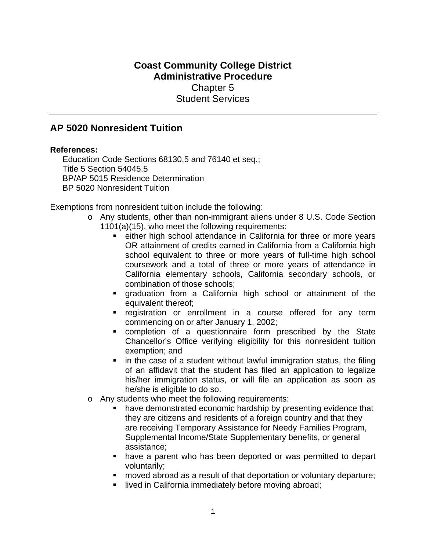## **Coast Community College District Administrative Procedure**

Chapter 5 Student Services

## **AP 5020 Nonresident Tuition**

## **References:**

Education Code Sections 68130.5 and 76140 et seq.; Title 5 Section 54045.5 BP/AP 5015 Residence Determination BP 5020 Nonresident Tuition

Exemptions from nonresident tuition include the following:

- o Any students, other than non-immigrant aliens under 8 U.S. Code Section 1101(a)(15), who meet the following requirements:
	- **EXECT** either high school attendance in California for three or more years OR attainment of credits earned in California from a California high school equivalent to three or more years of full-time high school coursework and a total of three or more years of attendance in California elementary schools, California secondary schools, or combination of those schools;
	- graduation from a California high school or attainment of the equivalent thereof;
	- **•** registration or enrollment in a course offered for any term commencing on or after January 1, 2002;
	- completion of a questionnaire form prescribed by the State Chancellor's Office verifying eligibility for this nonresident tuition exemption; and
	- in the case of a student without lawful immigration status, the filing of an affidavit that the student has filed an application to legalize his/her immigration status, or will file an application as soon as he/she is eligible to do so.
- o Any students who meet the following requirements:
	- have demonstrated economic hardship by presenting evidence that they are citizens and residents of a foreign country and that they are receiving Temporary Assistance for Needy Families Program, Supplemental Income/State Supplementary benefits, or general assistance;
	- have a parent who has been deported or was permitted to depart voluntarily;
	- moved abroad as a result of that deportation or voluntary departure;
	- **I** lived in California immediately before moving abroad;